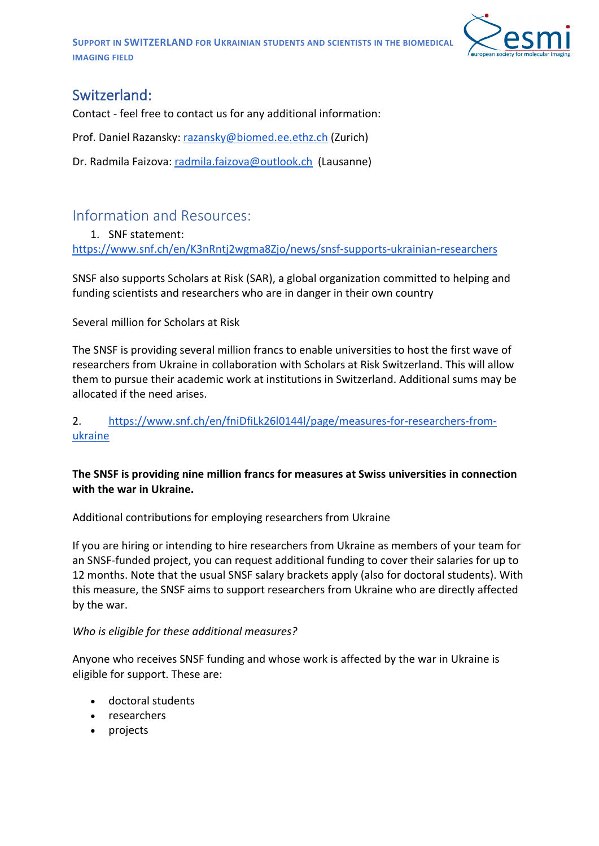**SUPPORT IN SWITZERLAND FOR UKRAINIAN STUDENTS AND SCIENTISTS IN THE BIOMEDICAL IMAGING FIELD**



# Switzerland:

Contact - feel free to contact us for any additional information:

Prof. Daniel Razansky: razansky@biomed.ee.ethz.ch (Zurich)

Dr. Radmila Faizova: [radmila.faizova@outlook.ch](mailto:radmila.faizova@outlook.ch) (Lausanne)

## Information and Resources:

1. SNF statement: <https://www.snf.ch/en/K3nRntj2wgma8Zjo/news/snsf-supports-ukrainian-researchers>

SNSF also supports Scholars at Risk (SAR), a global organization committed to helping and funding scientists and researchers who are in danger in their own country

Several million for Scholars at Risk

The SNSF is providing several million francs to enable universities to host the first wave of researchers from Ukraine in collaboration with Scholars at Risk Switzerland. This will allow them to pursue their academic work at institutions in Switzerland. Additional sums may be allocated if the need arises.

#### 2. [https://www.snf.ch/en/fniDfiLk26l0144l/page/measures-for-researchers-from](https://www.snf.ch/en/fniDfiLk26l0144l/page/measures-for-researchers-from-ukraine)[ukraine](https://www.snf.ch/en/fniDfiLk26l0144l/page/measures-for-researchers-from-ukraine)

#### **The SNSF is providing nine million francs for measures at Swiss universities in connection with the war in Ukraine.**

Additional contributions for employing researchers from Ukraine

If you are hiring or intending to hire researchers from Ukraine as members of your team for an SNSF-funded project, you can request additional funding to cover their salaries for up to 12 months. Note that the usual SNSF salary brackets apply (also for doctoral students). With this measure, the SNSF aims to support researchers from Ukraine who are directly affected by the war.

#### *Who is eligible for these additional measures?*

Anyone who receives SNSF funding and whose work is affected by the war in Ukraine is eligible for support. These are:

- doctoral students
- researchers
- projects